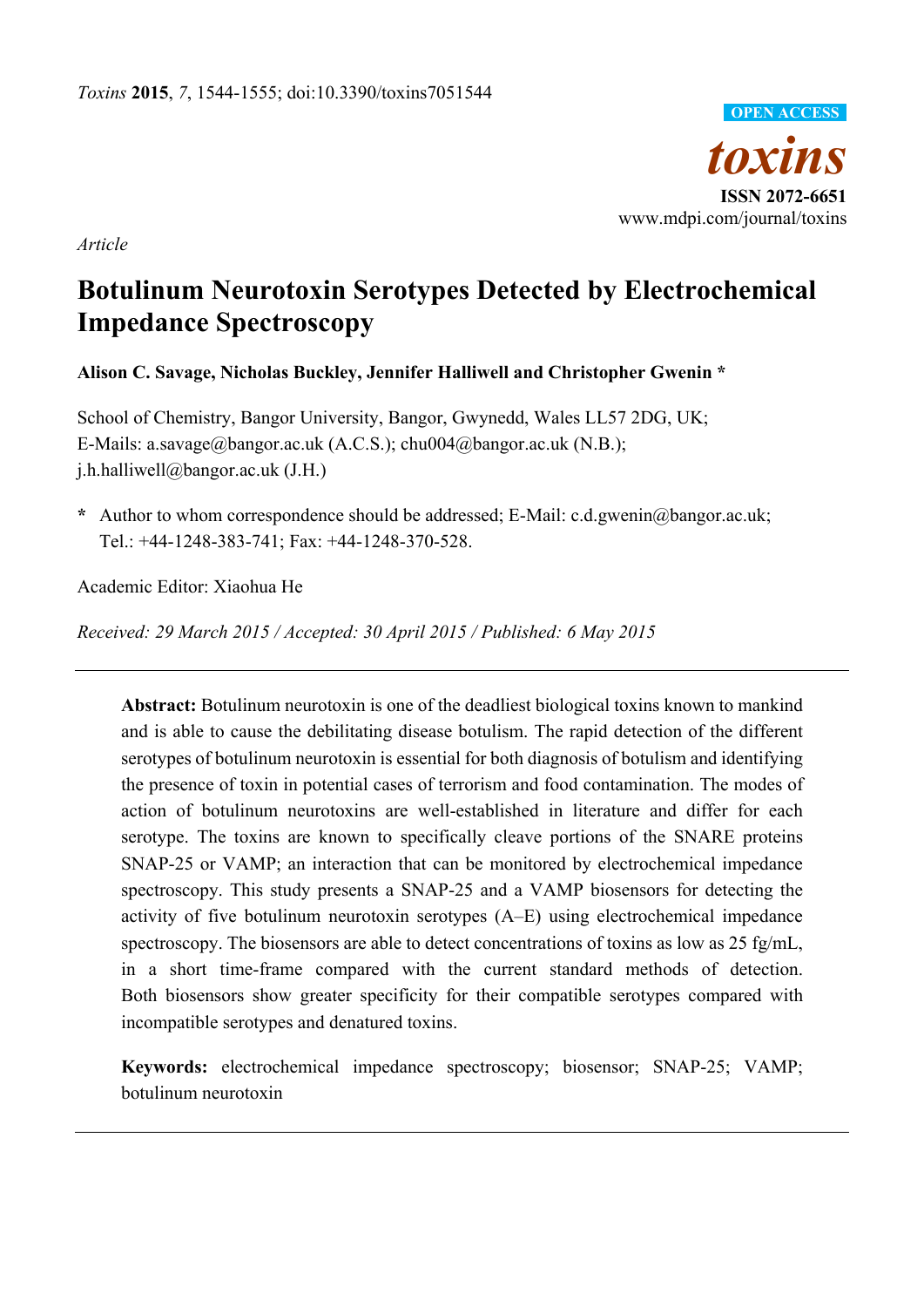

*Article* 

# **Botulinum Neurotoxin Serotypes Detected by Electrochemical Impedance Spectroscopy**

**Alison C. Savage, Nicholas Buckley, Jennifer Halliwell and Christopher Gwenin \*** 

School of Chemistry, Bangor University, Bangor, Gwynedd, Wales LL57 2DG, UK; E-Mails: a.savage@bangor.ac.uk (A.C.S.); chu004@bangor.ac.uk (N.B.); j.h.halliwell@bangor.ac.uk (J.H.)

**\*** Author to whom correspondence should be addressed; E-Mail: c.d.gwenin@bangor.ac.uk; Tel.: +44-1248-383-741; Fax: +44-1248-370-528.

Academic Editor: Xiaohua He

*Received: 29 March 2015 / Accepted: 30 April 2015 / Published: 6 May 2015* 

**Abstract:** Botulinum neurotoxin is one of the deadliest biological toxins known to mankind and is able to cause the debilitating disease botulism. The rapid detection of the different serotypes of botulinum neurotoxin is essential for both diagnosis of botulism and identifying the presence of toxin in potential cases of terrorism and food contamination. The modes of action of botulinum neurotoxins are well-established in literature and differ for each serotype. The toxins are known to specifically cleave portions of the SNARE proteins SNAP-25 or VAMP; an interaction that can be monitored by electrochemical impedance spectroscopy. This study presents a SNAP-25 and a VAMP biosensors for detecting the activity of five botulinum neurotoxin serotypes (A–E) using electrochemical impedance spectroscopy. The biosensors are able to detect concentrations of toxins as low as 25 fg/mL, in a short time-frame compared with the current standard methods of detection. Both biosensors show greater specificity for their compatible serotypes compared with incompatible serotypes and denatured toxins.

**Keywords:** electrochemical impedance spectroscopy; biosensor; SNAP-25; VAMP; botulinum neurotoxin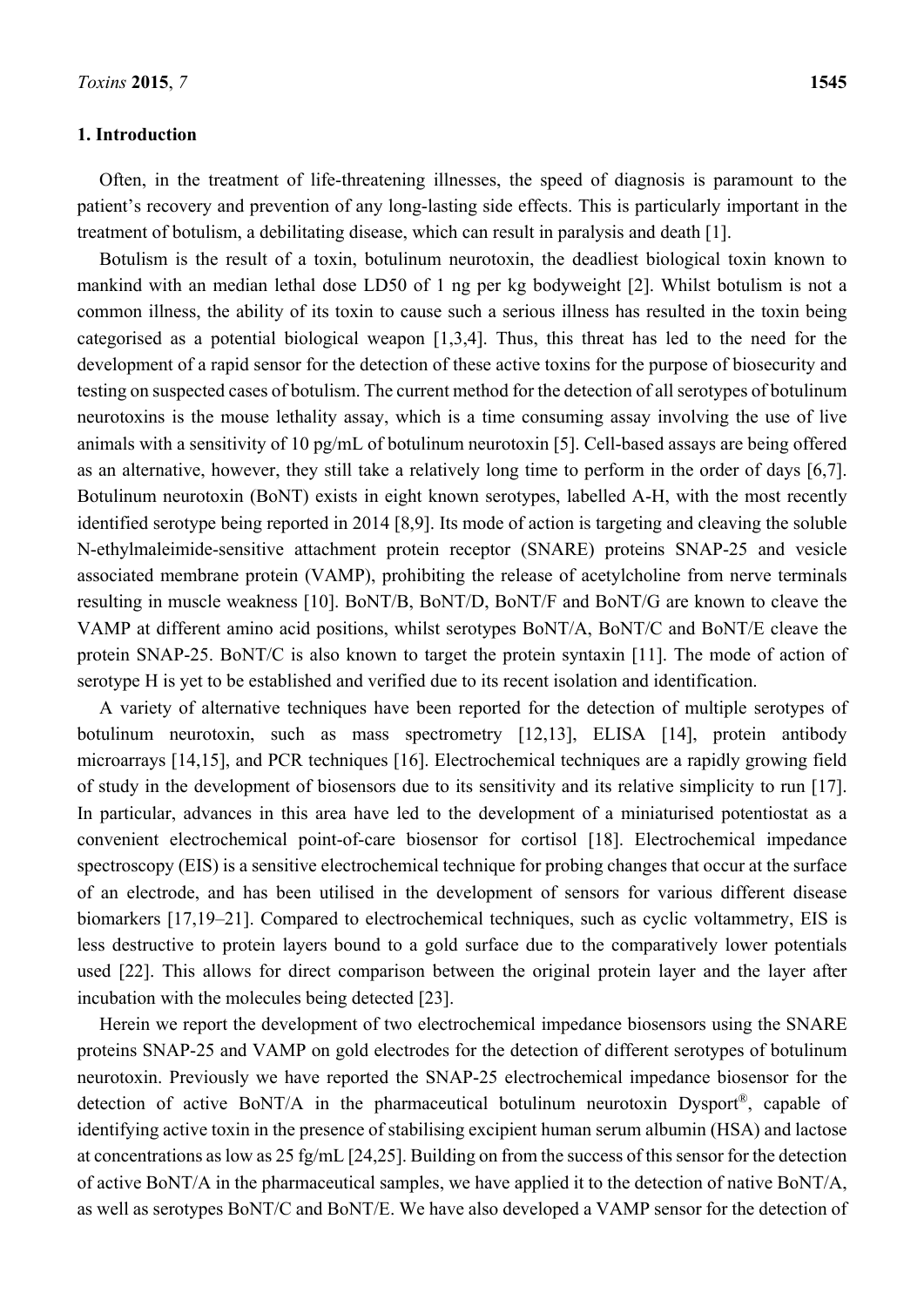## **1. Introduction**

Often, in the treatment of life-threatening illnesses, the speed of diagnosis is paramount to the patient's recovery and prevention of any long-lasting side effects. This is particularly important in the treatment of botulism, a debilitating disease, which can result in paralysis and death [1].

Botulism is the result of a toxin, botulinum neurotoxin, the deadliest biological toxin known to mankind with an median lethal dose LD50 of 1 ng per kg bodyweight [2]. Whilst botulism is not a common illness, the ability of its toxin to cause such a serious illness has resulted in the toxin being categorised as a potential biological weapon [1,3,4]. Thus, this threat has led to the need for the development of a rapid sensor for the detection of these active toxins for the purpose of biosecurity and testing on suspected cases of botulism. The current method for the detection of all serotypes of botulinum neurotoxins is the mouse lethality assay, which is a time consuming assay involving the use of live animals with a sensitivity of 10 pg/mL of botulinum neurotoxin [5]. Cell-based assays are being offered as an alternative, however, they still take a relatively long time to perform in the order of days [6,7]. Botulinum neurotoxin (BoNT) exists in eight known serotypes, labelled A-H, with the most recently identified serotype being reported in 2014 [8,9]. Its mode of action is targeting and cleaving the soluble N-ethylmaleimide-sensitive attachment protein receptor (SNARE) proteins SNAP-25 and vesicle associated membrane protein (VAMP), prohibiting the release of acetylcholine from nerve terminals resulting in muscle weakness [10]. BoNT/B, BoNT/D, BoNT/F and BoNT/G are known to cleave the VAMP at different amino acid positions, whilst serotypes BoNT/A, BoNT/C and BoNT/E cleave the protein SNAP-25. BoNT/C is also known to target the protein syntaxin [11]. The mode of action of serotype H is yet to be established and verified due to its recent isolation and identification.

A variety of alternative techniques have been reported for the detection of multiple serotypes of botulinum neurotoxin, such as mass spectrometry [12,13], ELISA [14], protein antibody microarrays [14,15], and PCR techniques [16]. Electrochemical techniques are a rapidly growing field of study in the development of biosensors due to its sensitivity and its relative simplicity to run [17]. In particular, advances in this area have led to the development of a miniaturised potentiostat as a convenient electrochemical point-of-care biosensor for cortisol [18]. Electrochemical impedance spectroscopy (EIS) is a sensitive electrochemical technique for probing changes that occur at the surface of an electrode, and has been utilised in the development of sensors for various different disease biomarkers [17,19–21]. Compared to electrochemical techniques, such as cyclic voltammetry, EIS is less destructive to protein layers bound to a gold surface due to the comparatively lower potentials used [22]. This allows for direct comparison between the original protein layer and the layer after incubation with the molecules being detected [23].

Herein we report the development of two electrochemical impedance biosensors using the SNARE proteins SNAP-25 and VAMP on gold electrodes for the detection of different serotypes of botulinum neurotoxin. Previously we have reported the SNAP-25 electrochemical impedance biosensor for the detection of active BoNT/A in the pharmaceutical botulinum neurotoxin Dysport®, capable of identifying active toxin in the presence of stabilising excipient human serum albumin (HSA) and lactose at concentrations as low as 25 fg/mL [24,25]. Building on from the success of this sensor for the detection of active BoNT/A in the pharmaceutical samples, we have applied it to the detection of native BoNT/A, as well as serotypes BoNT/C and BoNT/E. We have also developed a VAMP sensor for the detection of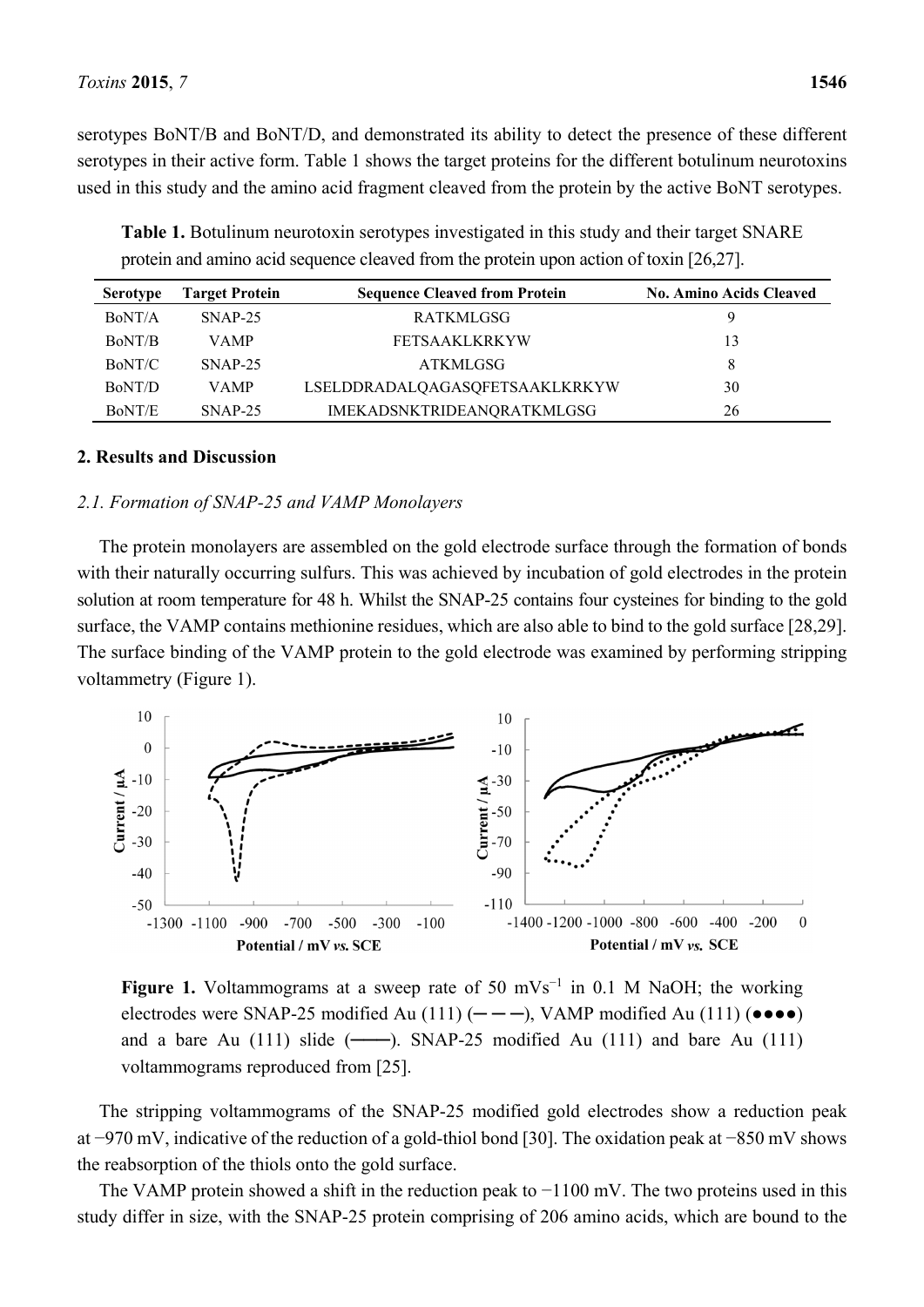serotypes BoNT/B and BoNT/D, and demonstrated its ability to detect the presence of these different serotypes in their active form. Table 1 shows the target proteins for the different botulinum neurotoxins used in this study and the amino acid fragment cleaved from the protein by the active BoNT serotypes.

**Table 1.** Botulinum neurotoxin serotypes investigated in this study and their target SNARE protein and amino acid sequence cleaved from the protein upon action of toxin [26,27].

| <b>Serotype</b> | <b>Target Protein</b> | <b>Sequence Cleaved from Protein</b> | <b>No. Amino Acids Cleaved</b> |
|-----------------|-----------------------|--------------------------------------|--------------------------------|
| BoNT/A          | $SNAP-25$             | <b>RATKMLGSG</b>                     |                                |
| BoNT/B          | <b>VAMP</b>           | <b>FETSAAKLKRKYW</b>                 | 13                             |
| BoNT/C          | $SNAP-25$             | ATKMLGSG                             | 8                              |
| BoNT/D          | <b>VAMP</b>           | LSELDDRADALQAGASQFETSAAKLKRKYW       | 30                             |
| BoNT/E          | $SNAP-25$             | <b>IMEKADSNKTRIDEANQRATKMLGSG</b>    | 26                             |

## **2. Results and Discussion**

### *2.1. Formation of SNAP-25 and VAMP Monolayers*

The protein monolayers are assembled on the gold electrode surface through the formation of bonds with their naturally occurring sulfurs. This was achieved by incubation of gold electrodes in the protein solution at room temperature for 48 h. Whilst the SNAP-25 contains four cysteines for binding to the gold surface, the VAMP contains methionine residues, which are also able to bind to the gold surface [28,29]. The surface binding of the VAMP protein to the gold electrode was examined by performing stripping voltammetry (Figure 1).



**Figure 1.** Voltammograms at a sweep rate of 50 mVs<sup>-1</sup> in 0.1 M NaOH; the working electrodes were SNAP-25 modified Au (111)  $(- - -)$ , VAMP modified Au (111) ( $\bullet \bullet \bullet \bullet$ ) and a bare Au  $(111)$  slide  $(—)$ . SNAP-25 modified Au  $(111)$  and bare Au  $(111)$ voltammograms reproduced from [25].

The stripping voltammograms of the SNAP-25 modified gold electrodes show a reduction peak at −970 mV, indicative of the reduction of a gold-thiol bond [30]. The oxidation peak at −850 mV shows the reabsorption of the thiols onto the gold surface.

The VAMP protein showed a shift in the reduction peak to −1100 mV. The two proteins used in this study differ in size, with the SNAP-25 protein comprising of 206 amino acids, which are bound to the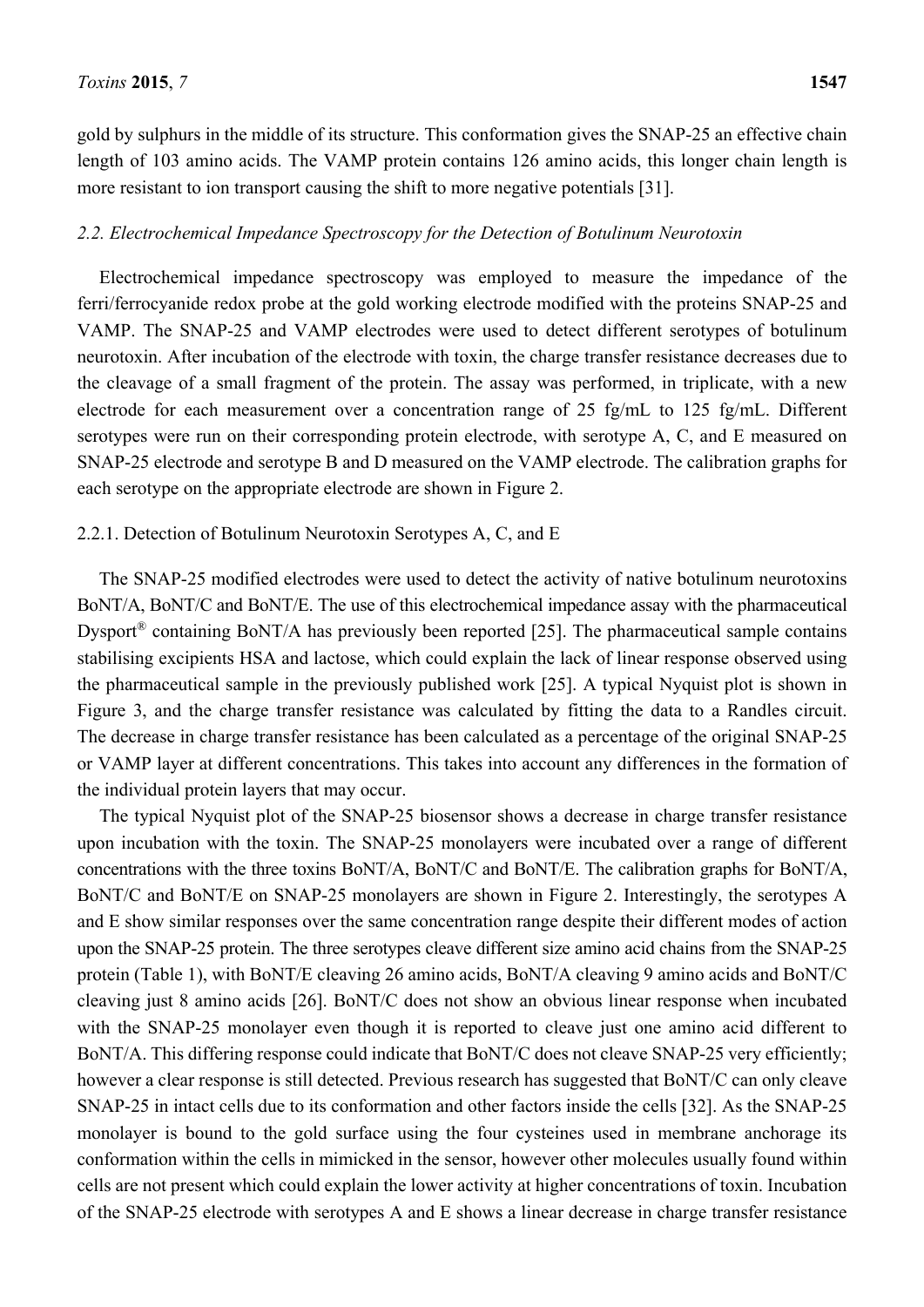gold by sulphurs in the middle of its structure. This conformation gives the SNAP-25 an effective chain length of 103 amino acids. The VAMP protein contains 126 amino acids, this longer chain length is more resistant to ion transport causing the shift to more negative potentials [31].

## *2.2. Electrochemical Impedance Spectroscopy for the Detection of Botulinum Neurotoxin*

Electrochemical impedance spectroscopy was employed to measure the impedance of the ferri/ferrocyanide redox probe at the gold working electrode modified with the proteins SNAP-25 and VAMP. The SNAP-25 and VAMP electrodes were used to detect different serotypes of botulinum neurotoxin. After incubation of the electrode with toxin, the charge transfer resistance decreases due to the cleavage of a small fragment of the protein. The assay was performed, in triplicate, with a new electrode for each measurement over a concentration range of 25 fg/mL to 125 fg/mL. Different serotypes were run on their corresponding protein electrode, with serotype A, C, and E measured on SNAP-25 electrode and serotype B and D measured on the VAMP electrode. The calibration graphs for each serotype on the appropriate electrode are shown in Figure 2.

### 2.2.1. Detection of Botulinum Neurotoxin Serotypes A, C, and E

The SNAP-25 modified electrodes were used to detect the activity of native botulinum neurotoxins BoNT/A, BoNT/C and BoNT/E. The use of this electrochemical impedance assay with the pharmaceutical Dysport® containing BoNT/A has previously been reported [25]. The pharmaceutical sample contains stabilising excipients HSA and lactose, which could explain the lack of linear response observed using the pharmaceutical sample in the previously published work [25]. A typical Nyquist plot is shown in Figure 3, and the charge transfer resistance was calculated by fitting the data to a Randles circuit. The decrease in charge transfer resistance has been calculated as a percentage of the original SNAP-25 or VAMP layer at different concentrations. This takes into account any differences in the formation of the individual protein layers that may occur.

The typical Nyquist plot of the SNAP-25 biosensor shows a decrease in charge transfer resistance upon incubation with the toxin. The SNAP-25 monolayers were incubated over a range of different concentrations with the three toxins BoNT/A, BoNT/C and BoNT/E. The calibration graphs for BoNT/A, BoNT/C and BoNT/E on SNAP-25 monolayers are shown in Figure 2. Interestingly, the serotypes A and E show similar responses over the same concentration range despite their different modes of action upon the SNAP-25 protein. The three serotypes cleave different size amino acid chains from the SNAP-25 protein (Table 1), with BoNT/E cleaving 26 amino acids, BoNT/A cleaving 9 amino acids and BoNT/C cleaving just 8 amino acids [26]. BoNT/C does not show an obvious linear response when incubated with the SNAP-25 monolayer even though it is reported to cleave just one amino acid different to BoNT/A. This differing response could indicate that BoNT/C does not cleave SNAP-25 very efficiently; however a clear response is still detected. Previous research has suggested that BoNT/C can only cleave SNAP-25 in intact cells due to its conformation and other factors inside the cells [32]. As the SNAP-25 monolayer is bound to the gold surface using the four cysteines used in membrane anchorage its conformation within the cells in mimicked in the sensor, however other molecules usually found within cells are not present which could explain the lower activity at higher concentrations of toxin. Incubation of the SNAP-25 electrode with serotypes A and E shows a linear decrease in charge transfer resistance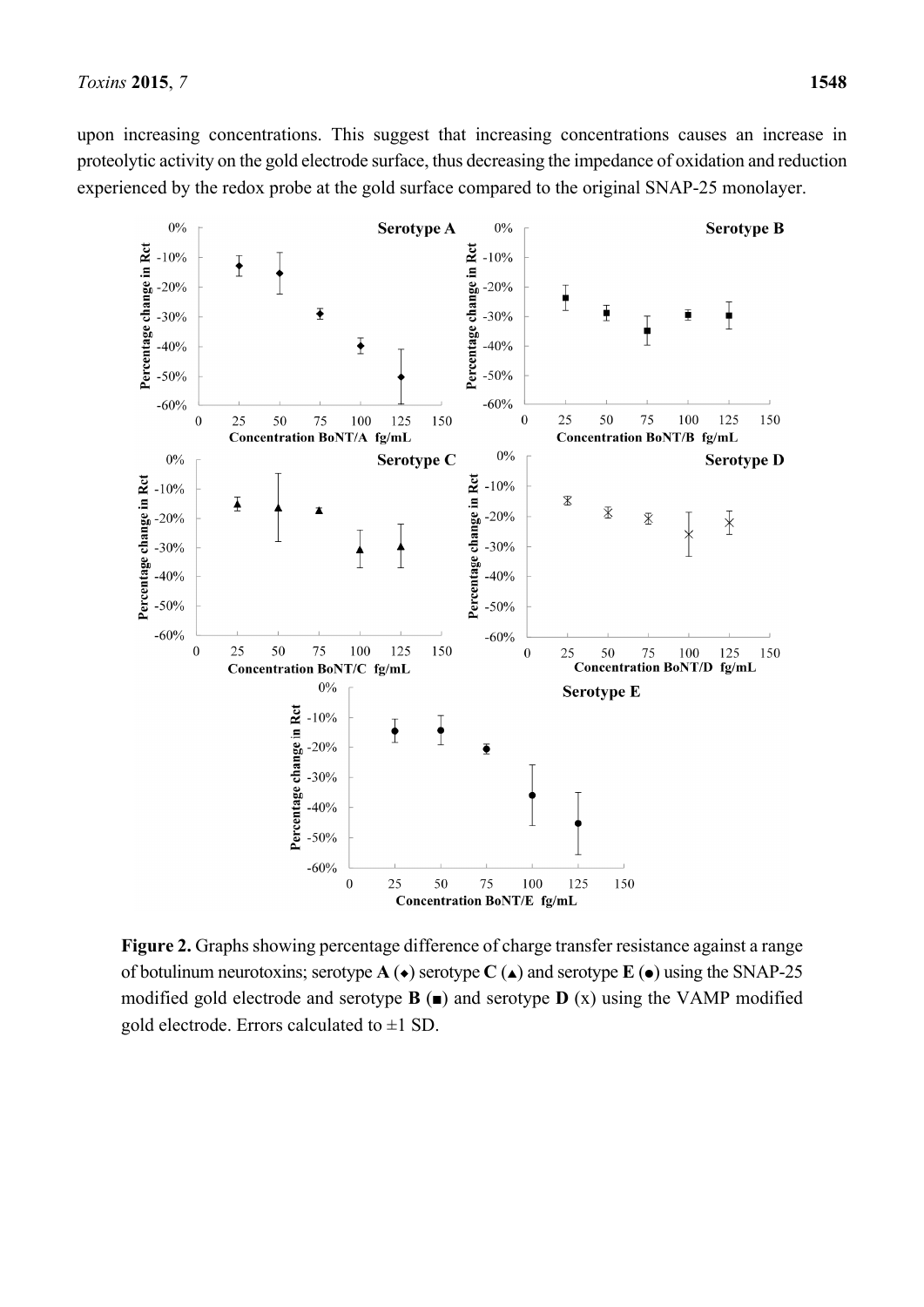upon increasing concentrations. This suggest that increasing concentrations causes an increase in proteolytic activity on the gold electrode surface, thus decreasing the impedance of oxidation and reduction experienced by the redox probe at the gold surface compared to the original SNAP-25 monolayer.



**Figure 2.** Graphs showing percentage difference of charge transfer resistance against a range of botulinum neurotoxins; serotype  $\mathbf{A}(\bullet)$  serotype  $\mathbf{C}(\bullet)$  and serotype  $\mathbf{E}(\bullet)$  using the SNAP-25 modified gold electrode and serotype  $\mathbf{B}(\mathbf{r})$  and serotype  $\mathbf{D}(x)$  using the VAMP modified gold electrode. Errors calculated to  $\pm 1$  SD.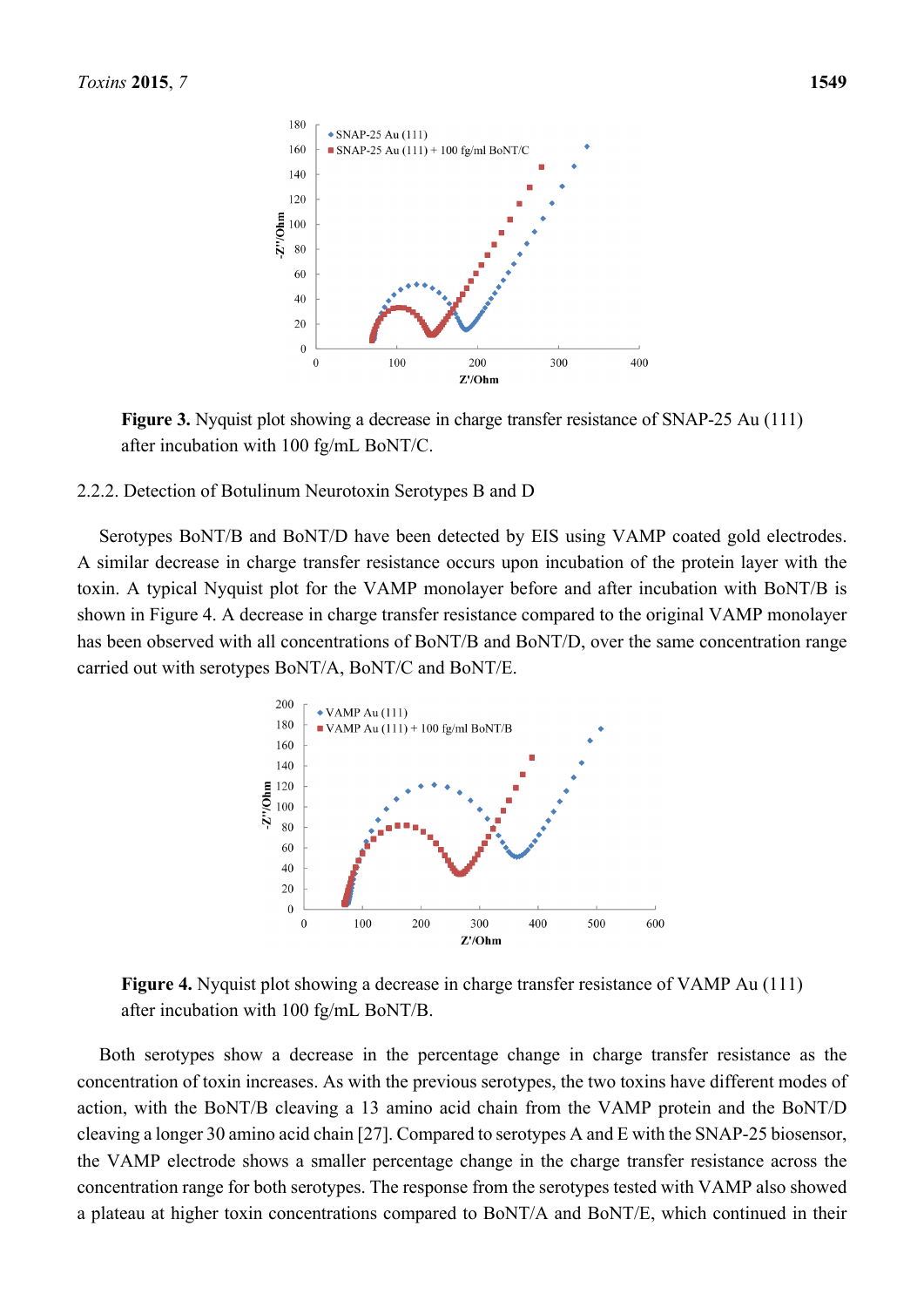

**Figure 3.** Nyquist plot showing a decrease in charge transfer resistance of SNAP-25 Au (111) after incubation with 100 fg/mL BoNT/C.

#### 2.2.2. Detection of Botulinum Neurotoxin Serotypes B and D

Serotypes BoNT/B and BoNT/D have been detected by EIS using VAMP coated gold electrodes. A similar decrease in charge transfer resistance occurs upon incubation of the protein layer with the toxin. A typical Nyquist plot for the VAMP monolayer before and after incubation with BoNT/B is shown in Figure 4. A decrease in charge transfer resistance compared to the original VAMP monolayer has been observed with all concentrations of BoNT/B and BoNT/D, over the same concentration range carried out with serotypes BoNT/A, BoNT/C and BoNT/E.



**Figure 4.** Nyquist plot showing a decrease in charge transfer resistance of VAMP Au (111) after incubation with 100 fg/mL BoNT/B.

Both serotypes show a decrease in the percentage change in charge transfer resistance as the concentration of toxin increases. As with the previous serotypes, the two toxins have different modes of action, with the BoNT/B cleaving a 13 amino acid chain from the VAMP protein and the BoNT/D cleaving a longer 30 amino acid chain [27]. Compared to serotypes A and E with the SNAP-25 biosensor, the VAMP electrode shows a smaller percentage change in the charge transfer resistance across the concentration range for both serotypes. The response from the serotypes tested with VAMP also showed a plateau at higher toxin concentrations compared to BoNT/A and BoNT/E, which continued in their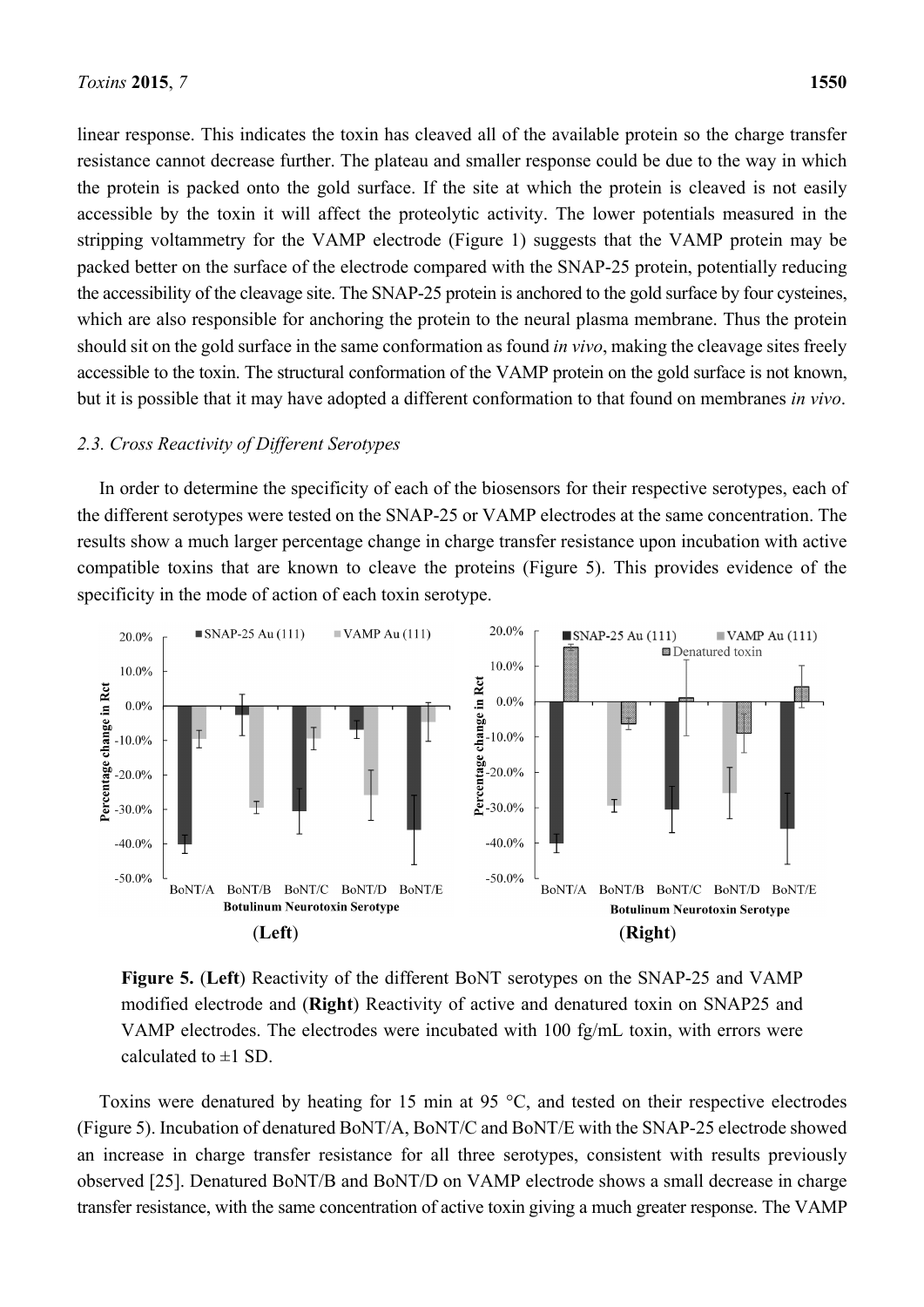linear response. This indicates the toxin has cleaved all of the available protein so the charge transfer resistance cannot decrease further. The plateau and smaller response could be due to the way in which the protein is packed onto the gold surface. If the site at which the protein is cleaved is not easily accessible by the toxin it will affect the proteolytic activity. The lower potentials measured in the stripping voltammetry for the VAMP electrode (Figure 1) suggests that the VAMP protein may be packed better on the surface of the electrode compared with the SNAP-25 protein, potentially reducing the accessibility of the cleavage site. The SNAP-25 protein is anchored to the gold surface by four cysteines, which are also responsible for anchoring the protein to the neural plasma membrane. Thus the protein should sit on the gold surface in the same conformation as found *in vivo*, making the cleavage sites freely accessible to the toxin. The structural conformation of the VAMP protein on the gold surface is not known, but it is possible that it may have adopted a different conformation to that found on membranes *in vivo*.

### *2.3. Cross Reactivity of Different Serotypes*

In order to determine the specificity of each of the biosensors for their respective serotypes, each of the different serotypes were tested on the SNAP-25 or VAMP electrodes at the same concentration. The results show a much larger percentage change in charge transfer resistance upon incubation with active compatible toxins that are known to cleave the proteins (Figure 5). This provides evidence of the specificity in the mode of action of each toxin serotype.



**Figure 5.** (**Left**) Reactivity of the different BoNT serotypes on the SNAP-25 and VAMP modified electrode and (**Right**) Reactivity of active and denatured toxin on SNAP25 and VAMP electrodes. The electrodes were incubated with 100 fg/mL toxin, with errors were calculated to  $\pm 1$  SD.

Toxins were denatured by heating for 15 min at 95 °C, and tested on their respective electrodes (Figure 5). Incubation of denatured BoNT/A, BoNT/C and BoNT/E with the SNAP-25 electrode showed an increase in charge transfer resistance for all three serotypes, consistent with results previously observed [25]. Denatured BoNT/B and BoNT/D on VAMP electrode shows a small decrease in charge transfer resistance, with the same concentration of active toxin giving a much greater response. The VAMP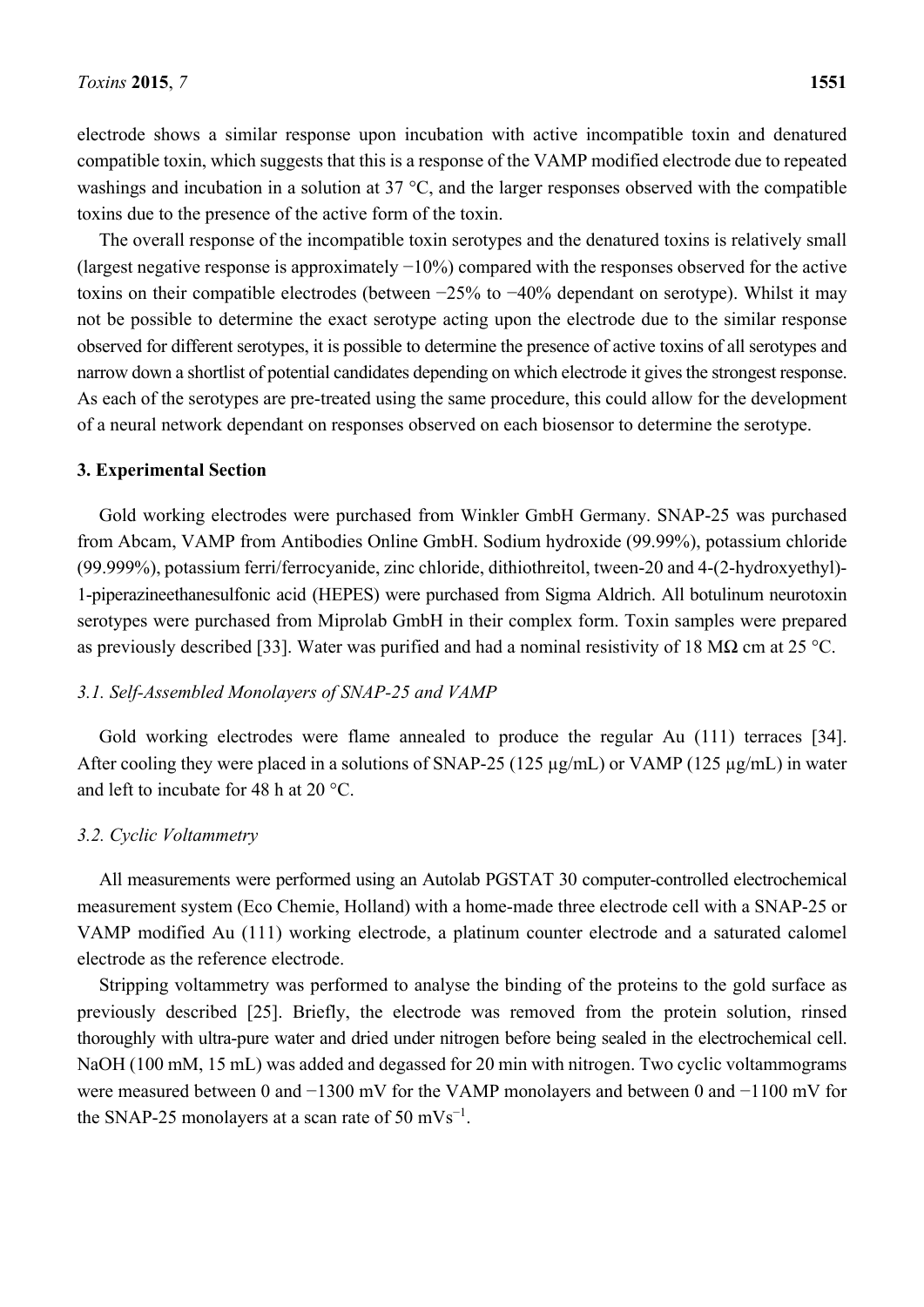electrode shows a similar response upon incubation with active incompatible toxin and denatured compatible toxin, which suggests that this is a response of the VAMP modified electrode due to repeated washings and incubation in a solution at 37 °C, and the larger responses observed with the compatible toxins due to the presence of the active form of the toxin.

The overall response of the incompatible toxin serotypes and the denatured toxins is relatively small (largest negative response is approximately −10%) compared with the responses observed for the active toxins on their compatible electrodes (between −25% to −40% dependant on serotype). Whilst it may not be possible to determine the exact serotype acting upon the electrode due to the similar response observed for different serotypes, it is possible to determine the presence of active toxins of all serotypes and narrow down a shortlist of potential candidates depending on which electrode it gives the strongest response. As each of the serotypes are pre-treated using the same procedure, this could allow for the development of a neural network dependant on responses observed on each biosensor to determine the serotype.

### **3. Experimental Section**

Gold working electrodes were purchased from Winkler GmbH Germany. SNAP-25 was purchased from Abcam, VAMP from Antibodies Online GmbH. Sodium hydroxide (99.99%), potassium chloride (99.999%), potassium ferri/ferrocyanide, zinc chloride, dithiothreitol, tween-20 and 4-(2-hydroxyethyl)- 1-piperazineethanesulfonic acid (HEPES) were purchased from Sigma Aldrich. All botulinum neurotoxin serotypes were purchased from Miprolab GmbH in their complex form. Toxin samples were prepared as previously described [33]. Water was purified and had a nominal resistivity of 18 M $\Omega$  cm at 25 °C.

## *3.1. Self-Assembled Monolayers of SNAP-25 and VAMP*

Gold working electrodes were flame annealed to produce the regular Au (111) terraces [34]. After cooling they were placed in a solutions of SNAP-25 (125 µg/mL) or VAMP (125 µg/mL) in water and left to incubate for 48 h at 20 °C.

## *3.2. Cyclic Voltammetry*

All measurements were performed using an Autolab PGSTAT 30 computer-controlled electrochemical measurement system (Eco Chemie, Holland) with a home-made three electrode cell with a SNAP-25 or VAMP modified Au (111) working electrode, a platinum counter electrode and a saturated calomel electrode as the reference electrode.

Stripping voltammetry was performed to analyse the binding of the proteins to the gold surface as previously described [25]. Briefly, the electrode was removed from the protein solution, rinsed thoroughly with ultra-pure water and dried under nitrogen before being sealed in the electrochemical cell. NaOH (100 mM, 15 mL) was added and degassed for 20 min with nitrogen. Two cyclic voltammograms were measured between 0 and −1300 mV for the VAMP monolayers and between 0 and −1100 mV for the SNAP-25 monolayers at a scan rate of 50 mVs<sup>-1</sup>.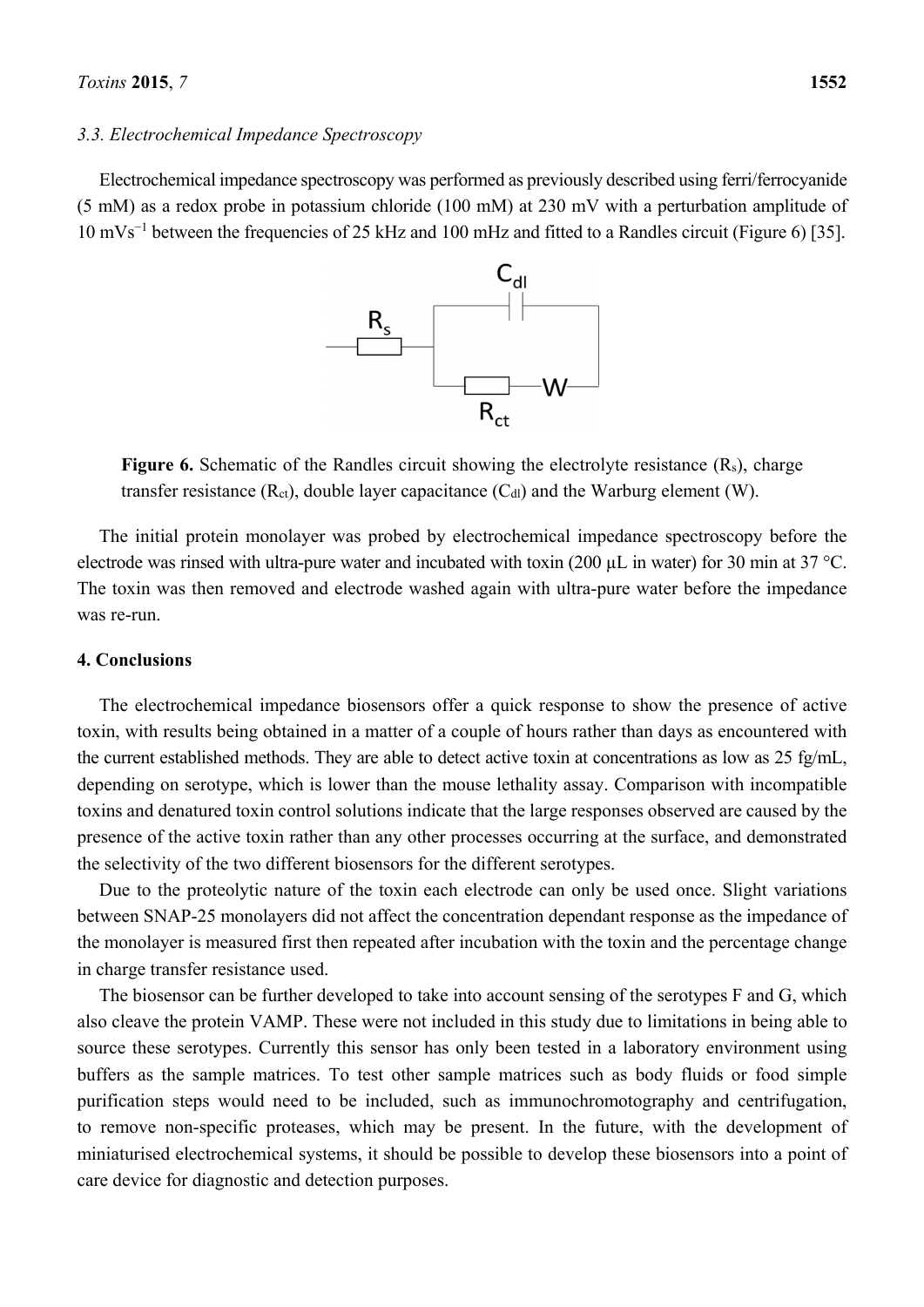#### *3.3. Electrochemical Impedance Spectroscopy*

Electrochemical impedance spectroscopy was performed as previously described using ferri/ferrocyanide (5 mM) as a redox probe in potassium chloride (100 mM) at 230 mV with a perturbation amplitude of 10 mVs<sup>−</sup><sup>1</sup> between the frequencies of 25 kHz and 100 mHz and fitted to a Randles circuit (Figure 6) [35].



Figure 6. Schematic of the Randles circuit showing the electrolyte resistance (R<sub>s</sub>), charge transfer resistance  $(R<sub>ct</sub>)$ , double layer capacitance  $(C<sub>dl</sub>)$  and the Warburg element (W).

The initial protein monolayer was probed by electrochemical impedance spectroscopy before the electrode was rinsed with ultra-pure water and incubated with toxin (200 µL in water) for 30 min at 37 °C. The toxin was then removed and electrode washed again with ultra-pure water before the impedance was re-run.

## **4. Conclusions**

The electrochemical impedance biosensors offer a quick response to show the presence of active toxin, with results being obtained in a matter of a couple of hours rather than days as encountered with the current established methods. They are able to detect active toxin at concentrations as low as 25 fg/mL, depending on serotype, which is lower than the mouse lethality assay. Comparison with incompatible toxins and denatured toxin control solutions indicate that the large responses observed are caused by the presence of the active toxin rather than any other processes occurring at the surface, and demonstrated the selectivity of the two different biosensors for the different serotypes.

Due to the proteolytic nature of the toxin each electrode can only be used once. Slight variations between SNAP-25 monolayers did not affect the concentration dependant response as the impedance of the monolayer is measured first then repeated after incubation with the toxin and the percentage change in charge transfer resistance used.

The biosensor can be further developed to take into account sensing of the serotypes F and G, which also cleave the protein VAMP. These were not included in this study due to limitations in being able to source these serotypes. Currently this sensor has only been tested in a laboratory environment using buffers as the sample matrices. To test other sample matrices such as body fluids or food simple purification steps would need to be included, such as immunochromotography and centrifugation, to remove non-specific proteases, which may be present. In the future, with the development of miniaturised electrochemical systems, it should be possible to develop these biosensors into a point of care device for diagnostic and detection purposes.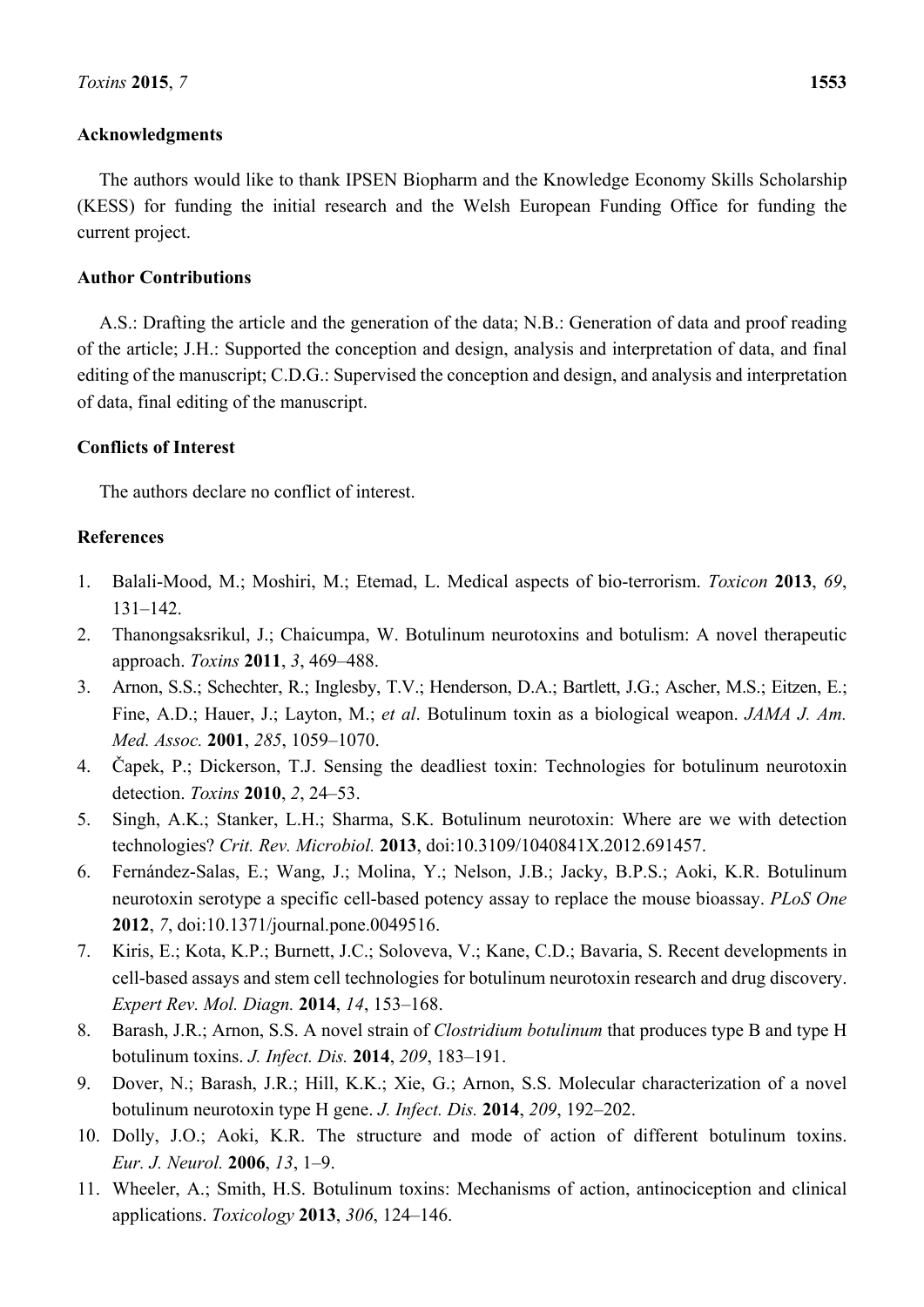## **Acknowledgments**

The authors would like to thank IPSEN Biopharm and the Knowledge Economy Skills Scholarship (KESS) for funding the initial research and the Welsh European Funding Office for funding the current project.

### **Author Contributions**

A.S.: Drafting the article and the generation of the data; N.B.: Generation of data and proof reading of the article; J.H.: Supported the conception and design, analysis and interpretation of data, and final editing of the manuscript; C.D.G.: Supervised the conception and design, and analysis and interpretation of data, final editing of the manuscript.

### **Conflicts of Interest**

The authors declare no conflict of interest.

## **References**

- 1. Balali-Mood, M.; Moshiri, M.; Etemad, L. Medical aspects of bio-terrorism. *Toxicon* **2013**, *69*, 131–142.
- 2. Thanongsaksrikul, J.; Chaicumpa, W. Botulinum neurotoxins and botulism: A novel therapeutic approach. *Toxins* **2011**, *3*, 469–488.
- 3. Arnon, S.S.; Schechter, R.; Inglesby, T.V.; Henderson, D.A.; Bartlett, J.G.; Ascher, M.S.; Eitzen, E.; Fine, A.D.; Hauer, J.; Layton, M.; *et al*. Botulinum toxin as a biological weapon. *JAMA J. Am. Med. Assoc.* **2001**, *285*, 1059–1070.
- 4. Čapek, P.; Dickerson, T.J. Sensing the deadliest toxin: Technologies for botulinum neurotoxin detection. *Toxins* **2010**, *2*, 24–53.
- 5. Singh, A.K.; Stanker, L.H.; Sharma, S.K. Botulinum neurotoxin: Where are we with detection technologies? *Crit. Rev. Microbiol.* **2013**, doi:10.3109/1040841X.2012.691457.
- 6. Fernández-Salas, E.; Wang, J.; Molina, Y.; Nelson, J.B.; Jacky, B.P.S.; Aoki, K.R. Botulinum neurotoxin serotype a specific cell-based potency assay to replace the mouse bioassay. *PLoS One* **2012**, *7*, doi:10.1371/journal.pone.0049516.
- 7. Kiris, E.; Kota, K.P.; Burnett, J.C.; Soloveva, V.; Kane, C.D.; Bavaria, S. Recent developments in cell-based assays and stem cell technologies for botulinum neurotoxin research and drug discovery. *Expert Rev. Mol. Diagn.* **2014**, *14*, 153–168.
- 8. Barash, J.R.; Arnon, S.S. A novel strain of *Clostridium botulinum* that produces type B and type H botulinum toxins. *J. Infect. Dis.* **2014**, *209*, 183–191.
- 9. Dover, N.; Barash, J.R.; Hill, K.K.; Xie, G.; Arnon, S.S. Molecular characterization of a novel botulinum neurotoxin type H gene. *J. Infect. Dis.* **2014**, *209*, 192–202.
- 10. Dolly, J.O.; Aoki, K.R. The structure and mode of action of different botulinum toxins. *Eur. J. Neurol.* **2006**, *13*, 1–9.
- 11. Wheeler, A.; Smith, H.S. Botulinum toxins: Mechanisms of action, antinociception and clinical applications. *Toxicology* **2013**, *306*, 124–146.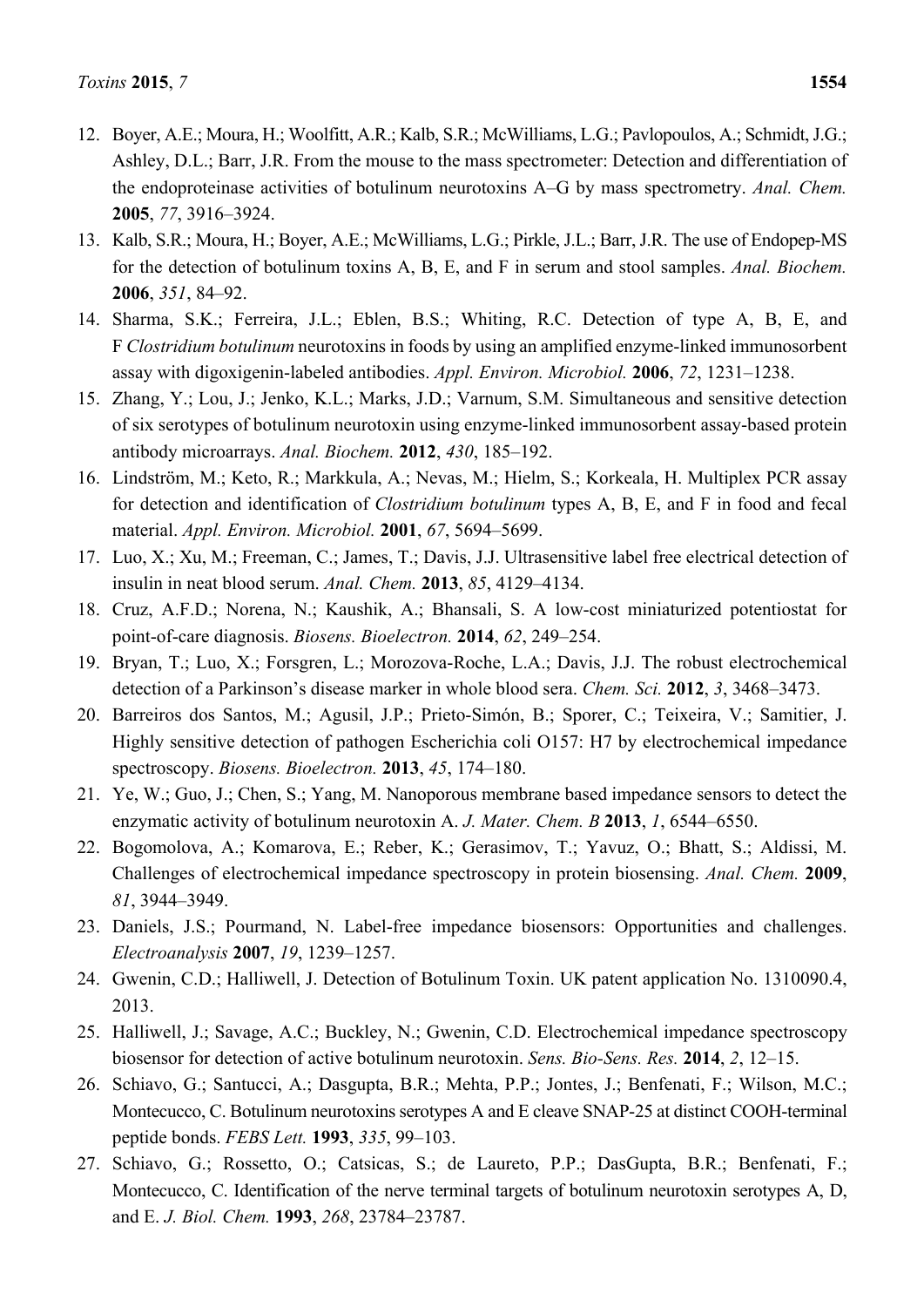- 12. Boyer, A.E.; Moura, H.; Woolfitt, A.R.; Kalb, S.R.; McWilliams, L.G.; Pavlopoulos, A.; Schmidt, J.G.; Ashley, D.L.; Barr, J.R. From the mouse to the mass spectrometer: Detection and differentiation of the endoproteinase activities of botulinum neurotoxins A–G by mass spectrometry. *Anal. Chem.* **2005**, *77*, 3916–3924.
- 13. Kalb, S.R.; Moura, H.; Boyer, A.E.; McWilliams, L.G.; Pirkle, J.L.; Barr, J.R. The use of Endopep-MS for the detection of botulinum toxins A, B, E, and F in serum and stool samples. *Anal. Biochem.* **2006**, *351*, 84–92.
- 14. Sharma, S.K.; Ferreira, J.L.; Eblen, B.S.; Whiting, R.C. Detection of type A, B, E, and F *Clostridium botulinum* neurotoxins in foods by using an amplified enzyme-linked immunosorbent assay with digoxigenin-labeled antibodies. *Appl. Environ. Microbiol.* **2006**, *72*, 1231–1238.
- 15. Zhang, Y.; Lou, J.; Jenko, K.L.; Marks, J.D.; Varnum, S.M. Simultaneous and sensitive detection of six serotypes of botulinum neurotoxin using enzyme-linked immunosorbent assay-based protein antibody microarrays. *Anal. Biochem.* **2012**, *430*, 185–192.
- 16. Lindström, M.; Keto, R.; Markkula, A.; Nevas, M.; Hielm, S.; Korkeala, H. Multiplex PCR assay for detection and identification of *Clostridium botulinum* types A, B, E, and F in food and fecal material. *Appl. Environ. Microbiol.* **2001**, *67*, 5694–5699.
- 17. Luo, X.; Xu, M.; Freeman, C.; James, T.; Davis, J.J. Ultrasensitive label free electrical detection of insulin in neat blood serum. *Anal. Chem.* **2013**, *85*, 4129–4134.
- 18. Cruz, A.F.D.; Norena, N.; Kaushik, A.; Bhansali, S. A low-cost miniaturized potentiostat for point-of-care diagnosis. *Biosens. Bioelectron.* **2014**, *62*, 249–254.
- 19. Bryan, T.; Luo, X.; Forsgren, L.; Morozova-Roche, L.A.; Davis, J.J. The robust electrochemical detection of a Parkinson's disease marker in whole blood sera. *Chem. Sci.* **2012**, *3*, 3468–3473.
- 20. Barreiros dos Santos, M.; Agusil, J.P.; Prieto-Simón, B.; Sporer, C.; Teixeira, V.; Samitier, J. Highly sensitive detection of pathogen Escherichia coli O157: H7 by electrochemical impedance spectroscopy. *Biosens. Bioelectron.* **2013**, *45*, 174–180.
- 21. Ye, W.; Guo, J.; Chen, S.; Yang, M. Nanoporous membrane based impedance sensors to detect the enzymatic activity of botulinum neurotoxin A. *J. Mater. Chem. B* **2013**, *1*, 6544–6550.
- 22. Bogomolova, A.; Komarova, E.; Reber, K.; Gerasimov, T.; Yavuz, O.; Bhatt, S.; Aldissi, M. Challenges of electrochemical impedance spectroscopy in protein biosensing. *Anal. Chem.* **2009**, *81*, 3944–3949.
- 23. Daniels, J.S.; Pourmand, N. Label-free impedance biosensors: Opportunities and challenges. *Electroanalysis* **2007**, *19*, 1239–1257.
- 24. Gwenin, C.D.; Halliwell, J. Detection of Botulinum Toxin. UK patent application No. 1310090.4, 2013.
- 25. Halliwell, J.; Savage, A.C.; Buckley, N.; Gwenin, C.D. Electrochemical impedance spectroscopy biosensor for detection of active botulinum neurotoxin. *Sens. Bio-Sens. Res.* **2014**, *2*, 12–15.
- 26. Schiavo, G.; Santucci, A.; Dasgupta, B.R.; Mehta, P.P.; Jontes, J.; Benfenati, F.; Wilson, M.C.; Montecucco, C. Botulinum neurotoxins serotypes A and E cleave SNAP-25 at distinct COOH-terminal peptide bonds. *FEBS Lett.* **1993**, *335*, 99–103.
- 27. Schiavo, G.; Rossetto, O.; Catsicas, S.; de Laureto, P.P.; DasGupta, B.R.; Benfenati, F.; Montecucco, C. Identification of the nerve terminal targets of botulinum neurotoxin serotypes A, D, and E. *J. Biol. Chem.* **1993**, *268*, 23784–23787.